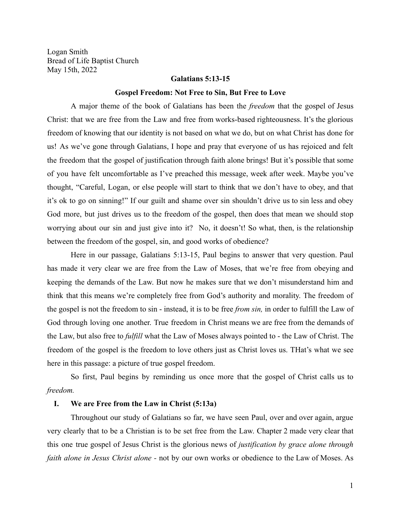Logan Smith Bread of Life Baptist Church May 15th, 2022

# **Galatians 5:13-15**

### **Gospel Freedom: Not Free to Sin, But Free to Love**

A major theme of the book of Galatians has been the *freedom* that the gospel of Jesus Christ: that we are free from the Law and free from works-based righteousness. It's the glorious freedom of knowing that our identity is not based on what we do, but on what Christ has done for us! As we've gone through Galatians, I hope and pray that everyone of us has rejoiced and felt the freedom that the gospel of justification through faith alone brings! But it's possible that some of you have felt uncomfortable as I've preached this message, week after week. Maybe you've thought, "Careful, Logan, or else people will start to think that we don't have to obey, and that it's ok to go on sinning!" If our guilt and shame over sin shouldn't drive us to sin less and obey God more, but just drives us to the freedom of the gospel, then does that mean we should stop worrying about our sin and just give into it? No, it doesn't! So what, then, is the relationship between the freedom of the gospel, sin, and good works of obedience?

Here in our passage, Galatians 5:13-15, Paul begins to answer that very question. Paul has made it very clear we are free from the Law of Moses, that we're free from obeying and keeping the demands of the Law. But now he makes sure that we don't misunderstand him and think that this means we're completely free from God's authority and morality. The freedom of the gospel is not the freedom to sin - instead, it is to be free *from sin,* in order to fulfill the Law of God through loving one another. True freedom in Christ means we are free from the demands of the Law, but also free to *fulfill* what the Law of Moses always pointed to - the Law of Christ. The freedom of the gospel is the freedom to love others just as Christ loves us. THat's what we see here in this passage: a picture of true gospel freedom.

So first, Paul begins by reminding us once more that the gospel of Christ calls us to *freedom.*

#### **I. We are Free from the Law in Christ (5:13a)**

Throughout our study of Galatians so far, we have seen Paul, over and over again, argue very clearly that to be a Christian is to be set free from the Law. Chapter 2 made very clear that this one true gospel of Jesus Christ is the glorious news of *justification by grace alone through faith alone in Jesus Christ alone -* not by our own works or obedience to the Law of Moses. As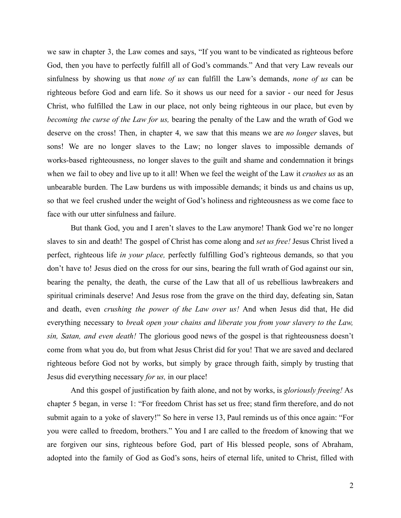we saw in chapter 3, the Law comes and says, "If you want to be vindicated as righteous before God, then you have to perfectly fulfill all of God's commands." And that very Law reveals our sinfulness by showing us that *none of us* can fulfill the Law's demands, *none of us* can be righteous before God and earn life. So it shows us our need for a savior - our need for Jesus Christ, who fulfilled the Law in our place, not only being righteous in our place, but even by *becoming the curse of the Law for us,* bearing the penalty of the Law and the wrath of God we deserve on the cross! Then, in chapter 4, we saw that this means we are *no longer* slaves, but sons! We are no longer slaves to the Law; no longer slaves to impossible demands of works-based righteousness, no longer slaves to the guilt and shame and condemnation it brings when we fail to obey and live up to it all! When we feel the weight of the Law it *crushes us* as an unbearable burden. The Law burdens us with impossible demands; it binds us and chains us up, so that we feel crushed under the weight of God's holiness and righteousness as we come face to face with our utter sinfulness and failure.

But thank God, you and I aren't slaves to the Law anymore! Thank God we're no longer slaves to sin and death! The gospel of Christ has come along and *set us free!* Jesus Christ lived a perfect, righteous life *in your place,* perfectly fulfilling God's righteous demands, so that you don't have to! Jesus died on the cross for our sins, bearing the full wrath of God against our sin, bearing the penalty, the death, the curse of the Law that all of us rebellious lawbreakers and spiritual criminals deserve! And Jesus rose from the grave on the third day, defeating sin, Satan and death, even *crushing the power of the Law over us!* And when Jesus did that, He did everything necessary to *break open your chains and liberate you from your slavery to the Law, sin, Satan, and even death!* The glorious good news of the gospel is that righteousness doesn't come from what you do, but from what Jesus Christ did for you! That we are saved and declared righteous before God not by works, but simply by grace through faith, simply by trusting that Jesus did everything necessary *for us,* in our place!

And this gospel of justification by faith alone, and not by works, is *gloriously freeing!* As chapter 5 began, in verse 1: "For freedom Christ has set us free; stand firm therefore, and do not submit again to a yoke of slavery!" So here in verse 13, Paul reminds us of this once again: "For you were called to freedom, brothers." You and I are called to the freedom of knowing that we are forgiven our sins, righteous before God, part of His blessed people, sons of Abraham, adopted into the family of God as God's sons, heirs of eternal life, united to Christ, filled with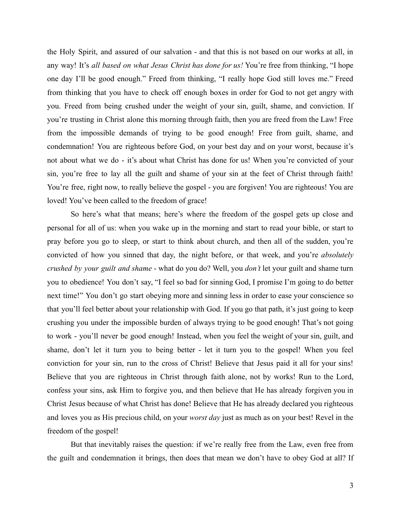the Holy Spirit, and assured of our salvation - and that this is not based on our works at all, in any way! It's *all based on what Jesus Christ has done for us!* You're free from thinking, "I hope one day I'll be good enough." Freed from thinking, "I really hope God still loves me." Freed from thinking that you have to check off enough boxes in order for God to not get angry with you. Freed from being crushed under the weight of your sin, guilt, shame, and conviction. If you're trusting in Christ alone this morning through faith, then you are freed from the Law! Free from the impossible demands of trying to be good enough! Free from guilt, shame, and condemnation! You are righteous before God, on your best day and on your worst, because it's not about what we do - it's about what Christ has done for us! When you're convicted of your sin, you're free to lay all the guilt and shame of your sin at the feet of Christ through faith! You're free, right now, to really believe the gospel - you are forgiven! You are righteous! You are loved! You've been called to the freedom of grace!

So here's what that means; here's where the freedom of the gospel gets up close and personal for all of us: when you wake up in the morning and start to read your bible, or start to pray before you go to sleep, or start to think about church, and then all of the sudden, you're convicted of how you sinned that day, the night before, or that week, and you're *absolutely crushed by your guilt and shame* - what do you do? Well, you *don't* let your guilt and shame turn you to obedience! You don't say, "I feel so bad for sinning God, I promise I'm going to do better next time!" You don't go start obeying more and sinning less in order to ease your conscience so that you'll feel better about your relationship with God. If you go that path, it's just going to keep crushing you under the impossible burden of always trying to be good enough! That's not going to work - you'll never be good enough! Instead, when you feel the weight of your sin, guilt, and shame, don't let it turn you to being better - let it turn you to the gospel! When you feel conviction for your sin, run to the cross of Christ! Believe that Jesus paid it all for your sins! Believe that you are righteous in Christ through faith alone, not by works! Run to the Lord, confess your sins, ask Him to forgive you, and then believe that He has already forgiven you in Christ Jesus because of what Christ has done! Believe that He has already declared you righteous and loves you as His precious child, on your *worst day* just as much as on your best! Revel in the freedom of the gospel!

But that inevitably raises the question: if we're really free from the Law, even free from the guilt and condemnation it brings, then does that mean we don't have to obey God at all? If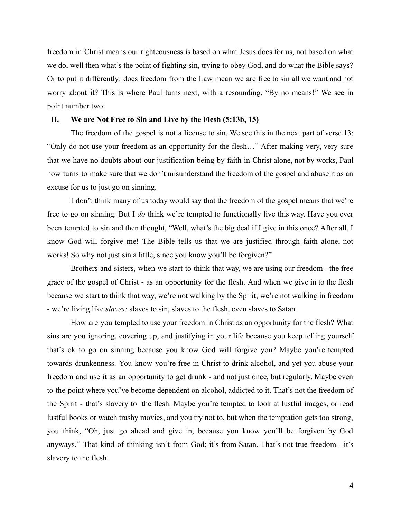freedom in Christ means our righteousness is based on what Jesus does for us, not based on what we do, well then what's the point of fighting sin, trying to obey God, and do what the Bible says? Or to put it differently: does freedom from the Law mean we are free to sin all we want and not worry about it? This is where Paul turns next, with a resounding, "By no means!" We see in point number two:

# **II. We are Not Free to Sin and Live by the Flesh (5:13b, 15)**

The freedom of the gospel is not a license to sin. We see this in the next part of verse 13: "Only do not use your freedom as an opportunity for the flesh…" After making very, very sure that we have no doubts about our justification being by faith in Christ alone, not by works, Paul now turns to make sure that we don't misunderstand the freedom of the gospel and abuse it as an excuse for us to just go on sinning.

I don't think many of us today would say that the freedom of the gospel means that we're free to go on sinning. But I *do* think we're tempted to functionally live this way. Have you ever been tempted to sin and then thought, "Well, what's the big deal if I give in this once? After all, I know God will forgive me! The Bible tells us that we are justified through faith alone, not works! So why not just sin a little, since you know you'll be forgiven?"

Brothers and sisters, when we start to think that way, we are using our freedom - the free grace of the gospel of Christ - as an opportunity for the flesh. And when we give in to the flesh because we start to think that way, we're not walking by the Spirit; we're not walking in freedom - we're living like *slaves:* slaves to sin, slaves to the flesh, even slaves to Satan.

How are you tempted to use your freedom in Christ as an opportunity for the flesh? What sins are you ignoring, covering up, and justifying in your life because you keep telling yourself that's ok to go on sinning because you know God will forgive you? Maybe you're tempted towards drunkenness. You know you're free in Christ to drink alcohol, and yet you abuse your freedom and use it as an opportunity to get drunk - and not just once, but regularly. Maybe even to the point where you've become dependent on alcohol, addicted to it. That's not the freedom of the Spirit - that's slavery to the flesh. Maybe you're tempted to look at lustful images, or read lustful books or watch trashy movies, and you try not to, but when the temptation gets too strong, you think, "Oh, just go ahead and give in, because you know you'll be forgiven by God anyways." That kind of thinking isn't from God; it's from Satan. That's not true freedom - it's slavery to the flesh.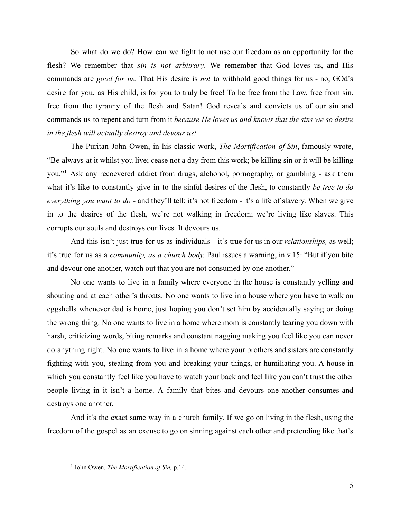So what do we do? How can we fight to not use our freedom as an opportunity for the flesh? We remember that *sin is not arbitrary.* We remember that God loves us, and His commands are *good for us.* That His desire is *not* to withhold good things for us - no, GOd's desire for you, as His child, is for you to truly be free! To be free from the Law, free from sin, free from the tyranny of the flesh and Satan! God reveals and convicts us of our sin and commands us to repent and turn from it *because He loves us and knows that the sins we so desire in the flesh will actually destroy and devour us!*

The Puritan John Owen, in his classic work, *The Mortification of Sin*, famously wrote, "Be always at it whilst you live; cease not a day from this work; be killing sin or it will be killing you."<sup>1</sup> Ask any recoevered addict from drugs, alchohol, pornography, or gambling - ask them what it's like to constantly give in to the sinful desires of the flesh, to constantly *be free to do everything you want to do -* and they'll tell: it's not freedom - it's a life of slavery. When we give in to the desires of the flesh, we're not walking in freedom; we're living like slaves. This corrupts our souls and destroys our lives. It devours us.

And this isn't just true for us as individuals - it's true for us in our *relationships,* as well; it's true for us as a *community, as a church body.* Paul issues a warning, in v.15: "But if you bite and devour one another, watch out that you are not consumed by one another."

No one wants to live in a family where everyone in the house is constantly yelling and shouting and at each other's throats. No one wants to live in a house where you have to walk on eggshells whenever dad is home, just hoping you don't set him by accidentally saying or doing the wrong thing. No one wants to live in a home where mom is constantly tearing you down with harsh, criticizing words, biting remarks and constant nagging making you feel like you can never do anything right. No one wants to live in a home where your brothers and sisters are constantly fighting with you, stealing from you and breaking your things, or humiliating you. A house in which you constantly feel like you have to watch your back and feel like you can't trust the other people living in it isn't a home. A family that bites and devours one another consumes and destroys one another.

And it's the exact same way in a church family. If we go on living in the flesh, using the freedom of the gospel as an excuse to go on sinning against each other and pretending like that's

<sup>1</sup> John Owen, *The Mortification of Sin,* p.14.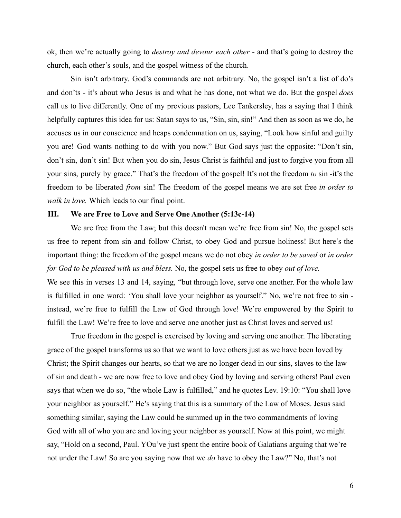ok, then we're actually going to *destroy and devour each other -* and that's going to destroy the church, each other's souls, and the gospel witness of the church.

Sin isn't arbitrary. God's commands are not arbitrary. No, the gospel isn't a list of do's and don'ts - it's about who Jesus is and what he has done, not what we do. But the gospel *does* call us to live differently. One of my previous pastors, Lee Tankersley, has a saying that I think helpfully captures this idea for us: Satan says to us, "Sin, sin, sin!" And then as soon as we do, he accuses us in our conscience and heaps condemnation on us, saying, "Look how sinful and guilty you are! God wants nothing to do with you now." But God says just the opposite: "Don't sin, don't sin, don't sin! But when you do sin, Jesus Christ is faithful and just to forgive you from all your sins, purely by grace." That's the freedom of the gospel! It's not the freedom *to* sin -it's the freedom to be liberated *from* sin! The freedom of the gospel means we are set free *in order to walk in love.* Which leads to our final point.

# **III. We are Free to Love and Serve One Another (5:13c-14)**

We are free from the Law; but this doesn't mean we're free from sin! No, the gospel sets us free to repent from sin and follow Christ, to obey God and pursue holiness! But here's the important thing: the freedom of the gospel means we do not obey *in order to be saved* or *in order for God to be pleased with us and bless.* No, the gospel sets us free to obey *out of love.* We see this in verses 13 and 14, saying, "but through love, serve one another. For the whole law is fulfilled in one word: 'You shall love your neighbor as yourself." No, we're not free to sin instead, we're free to fulfill the Law of God through love! We're empowered by the Spirit to fulfill the Law! We're free to love and serve one another just as Christ loves and served us!

True freedom in the gospel is exercised by loving and serving one another. The liberating grace of the gospel transforms us so that we want to love others just as we have been loved by Christ; the Spirit changes our hearts, so that we are no longer dead in our sins, slaves to the law of sin and death - we are now free to love and obey God by loving and serving others! Paul even says that when we do so, "the whole Law is fulfilled," and he quotes Lev. 19:10: "You shall love your neighbor as yourself." He's saying that this is a summary of the Law of Moses. Jesus said something similar, saying the Law could be summed up in the two commandments of loving God with all of who you are and loving your neighbor as yourself. Now at this point, we might say, "Hold on a second, Paul. YOu've just spent the entire book of Galatians arguing that we're not under the Law! So are you saying now that we *do* have to obey the Law?" No, that's not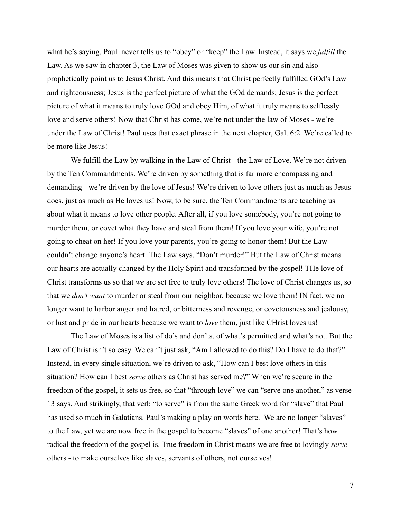what he's saying. Paul never tells us to "obey" or "keep" the Law. Instead, it says we *fulfill* the Law. As we saw in chapter 3, the Law of Moses was given to show us our sin and also prophetically point us to Jesus Christ. And this means that Christ perfectly fulfilled GOd's Law and righteousness; Jesus is the perfect picture of what the GOd demands; Jesus is the perfect picture of what it means to truly love GOd and obey Him, of what it truly means to selflessly love and serve others! Now that Christ has come, we're not under the law of Moses - we're under the Law of Christ! Paul uses that exact phrase in the next chapter, Gal. 6:2. We're called to be more like Jesus!

We fulfill the Law by walking in the Law of Christ - the Law of Love. We're not driven by the Ten Commandments. We're driven by something that is far more encompassing and demanding - we're driven by the love of Jesus! We're driven to love others just as much as Jesus does, just as much as He loves us! Now, to be sure, the Ten Commandments are teaching us about what it means to love other people. After all, if you love somebody, you're not going to murder them, or covet what they have and steal from them! If you love your wife, you're not going to cheat on her! If you love your parents, you're going to honor them! But the Law couldn't change anyone's heart. The Law says, "Don't murder!" But the Law of Christ means our hearts are actually changed by the Holy Spirit and transformed by the gospel! THe love of Christ transforms us so that *we* are set free to truly love others! The love of Christ changes us, so that we *don't want* to murder or steal from our neighbor, because we love them! IN fact, we no longer want to harbor anger and hatred, or bitterness and revenge, or covetousness and jealousy, or lust and pride in our hearts because we want to *love* them, just like CHrist loves us!

The Law of Moses is a list of do's and don'ts, of what's permitted and what's not. But the Law of Christ isn't so easy. We can't just ask, "Am I allowed to do this? Do I have to do that?" Instead, in every single situation, we're driven to ask, "How can I best love others in this situation? How can I best *serve* others as Christ has served me?" When we're secure in the freedom of the gospel, it sets us free, so that "through love" we can "serve one another," as verse 13 says. And strikingly, that verb "to serve" is from the same Greek word for "slave" that Paul has used so much in Galatians. Paul's making a play on words here. We are no longer "slaves" to the Law, yet we are now free in the gospel to become "slaves" of one another! That's how radical the freedom of the gospel is. True freedom in Christ means we are free to lovingly *serve* others - to make ourselves like slaves, servants of others, not ourselves!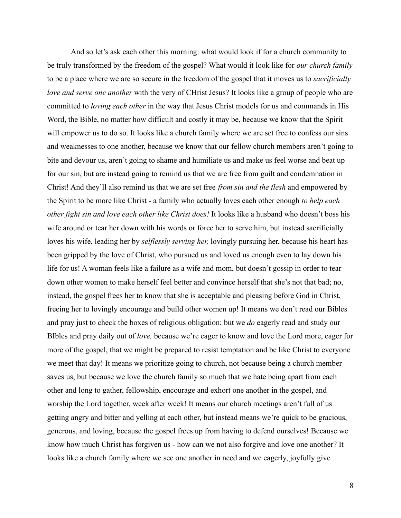And so let's ask each other this morning: what would look if for a church community to be truly transformed by the freedom of the gospel? What would it look like for *our church family* to be a place where we are so secure in the freedom of the gospel that it moves us to *sacrificially love and serve one another* with the very of CHrist Jesus? It looks like a group of people who are committed to *loving each other* in the way that Jesus Christ models for us and commands in His Word, the Bible, no matter how difficult and costly it may be, because we know that the Spirit will empower us to do so. It looks like a church family where we are set free to confess our sins and weaknesses to one another, because we know that our fellow church members aren't going to bite and devour us, aren't going to shame and humiliate us and make us feel worse and beat up for our sin, but are instead going to remind us that we are free from guilt and condemnation in Christ! And they'll also remind us that we are set free *from sin and the flesh* and empowered by the Spirit to be more like Christ - a family who actually loves each other enough *to help each other fight sin and love each other like Christ does!* It looks like a husband who doesn't boss his wife around or tear her down with his words or force her to serve him, but instead sacrificially loves his wife, leading her by *selflessly serving her,* lovingly pursuing her, because his heart has been gripped by the love of Christ, who pursued us and loved us enough even to lay down his life for us! A woman feels like a failure as a wife and mom, but doesn't gossip in order to tear down other women to make herself feel better and convince herself that she's not that bad; no, instead, the gospel frees her to know that she is acceptable and pleasing before God in Christ, freeing her to lovingly encourage and build other women up! It means we don't read our Bibles and pray just to check the boxes of religious obligation; but we *do* eagerly read and study our BIbles and pray daily out of *love,* because we're eager to know and love the Lord more, eager for more of the gospel, that we might be prepared to resist temptation and be like Christ to everyone we meet that day! It means we prioritize going to church, not because being a church member saves us, but because we love the church family so much that we hate being apart from each other and long to gather, fellowship, encourage and exhort one another in the gospel, and worship the Lord together, week after week! It means our church meetings aren't full of us getting angry and bitter and yelling at each other, but instead means we're quick to be gracious, generous, and loving, because the gospel frees up from having to defend ourselves! Because we know how much Christ has forgiven us - how can we not also forgive and love one another? It looks like a church family where we see one another in need and we eagerly, joyfully give